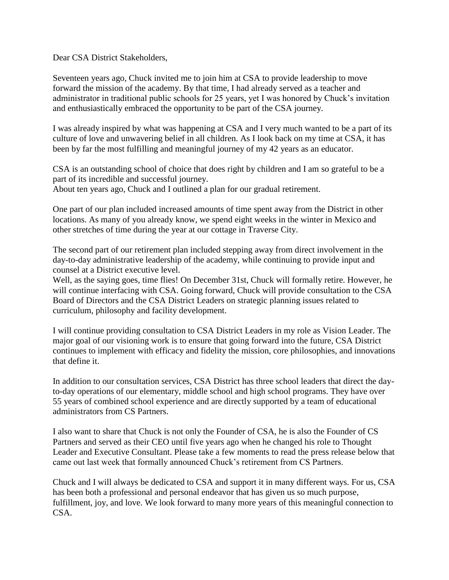Dear CSA District Stakeholders,

Seventeen years ago, Chuck invited me to join him at CSA to provide leadership to move forward the mission of the academy. By that time, I had already served as a teacher and administrator in traditional public schools for 25 years, yet I was honored by Chuck's invitation and enthusiastically embraced the opportunity to be part of the CSA journey.

I was already inspired by what was happening at CSA and I very much wanted to be a part of its culture of love and unwavering belief in all children. As I look back on my time at CSA, it has been by far the most fulfilling and meaningful journey of my 42 years as an educator.

CSA is an outstanding school of choice that does right by children and I am so grateful to be a part of its incredible and successful journey. About ten years ago, Chuck and I outlined a plan for our gradual retirement.

One part of our plan included increased amounts of time spent away from the District in other locations. As many of you already know, we spend eight weeks in the winter in Mexico and other stretches of time during the year at our cottage in Traverse City.

The second part of our retirement plan included stepping away from direct involvement in the day-to-day administrative leadership of the academy, while continuing to provide input and counsel at a District executive level.

Well, as the saying goes, time flies! On December 31st, Chuck will formally retire. However, he will continue interfacing with CSA. Going forward, Chuck will provide consultation to the CSA Board of Directors and the CSA District Leaders on strategic planning issues related to curriculum, philosophy and facility development.

I will continue providing consultation to CSA District Leaders in my role as Vision Leader. The major goal of our visioning work is to ensure that going forward into the future, CSA District continues to implement with efficacy and fidelity the mission, core philosophies, and innovations that define it.

In addition to our consultation services, CSA District has three school leaders that direct the dayto-day operations of our elementary, middle school and high school programs. They have over 55 years of combined school experience and are directly supported by a team of educational administrators from CS Partners.

I also want to share that Chuck is not only the Founder of CSA, he is also the Founder of CS Partners and served as their CEO until five years ago when he changed his role to Thought Leader and Executive Consultant. Please take a few moments to read the press release below that came out last week that formally announced Chuck's retirement from CS Partners.

Chuck and I will always be dedicated to CSA and support it in many different ways. For us, CSA has been both a professional and personal endeavor that has given us so much purpose, fulfillment, joy, and love. We look forward to many more years of this meaningful connection to CSA.